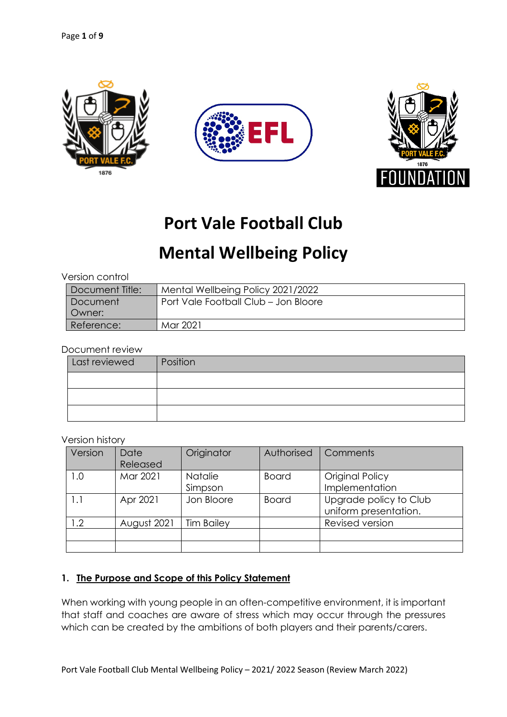





# **Port Vale Football Club**

# **Mental Wellbeing Policy**

| Version control |                                      |  |  |  |
|-----------------|--------------------------------------|--|--|--|
| Document Title: | Mental Wellbeing Policy 2021/2022    |  |  |  |
| Document        | Port Vale Football Club - Jon Bloore |  |  |  |
| Owner:          |                                      |  |  |  |
| Reference:      | Mar 2021                             |  |  |  |

#### Document review

| Last reviewed | Position |
|---------------|----------|
|               |          |
|               |          |
|               |          |

#### Version history

| Version | Date<br>Released | Originator                | Authorised   | Comments                                        |
|---------|------------------|---------------------------|--------------|-------------------------------------------------|
| 1.0     | Mar 2021         | <b>Natalie</b><br>Simpson | <b>Board</b> | Original Policy<br>Implementation               |
| 1.1     | Apr 2021         | Jon Bloore                | <b>Board</b> | Upgrade policy to Club<br>uniform presentation. |
| 1.2     | August 2021      | <b>Tim Bailey</b>         |              | Revised version                                 |
|         |                  |                           |              |                                                 |

# **1. The Purpose and Scope of this Policy Statement**

When working with young people in an often-competitive environment, it is important that staff and coaches are aware of stress which may occur through the pressures which can be created by the ambitions of both players and their parents/carers.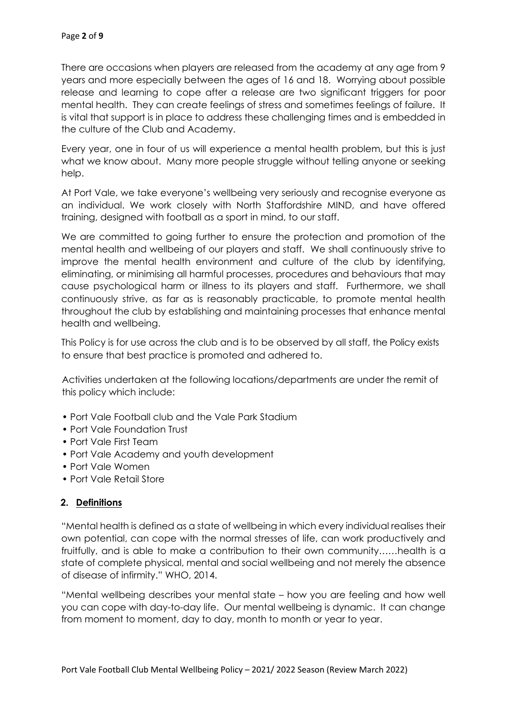There are occasions when players are released from the academy at any age from 9 years and more especially between the ages of 16 and 18. Worrying about possible release and learning to cope after a release are two significant triggers for poor mental health. They can create feelings of stress and sometimes feelings of failure. It is vital that support is in place to address these challenging times and is embedded in the culture of the Club and Academy.

Every year, one in four of us will experience a mental health problem, but this is just what we know about. Many more people struggle without telling anyone or seeking help.

At Port Vale, we take everyone's wellbeing very seriously and recognise everyone as an individual. We work closely with North Staffordshire MIND, and have offered training, designed with football as a sport in mind, to our staff.

We are committed to going further to ensure the protection and promotion of the mental health and wellbeing of our players and staff. We shall continuously strive to improve the mental health environment and culture of the club by identifying, eliminating, or minimising all harmful processes, procedures and behaviours that may cause psychological harm or illness to its players and staff. Furthermore, we shall continuously strive, as far as is reasonably practicable, to promote mental health throughout the club by establishing and maintaining processes that enhance mental health and wellbeing.

This Policy is for use across the club and is to be observed by all staff, the Policy exists to ensure that best practice is promoted and adhered to.

Activities undertaken at the following locations/departments are under the remit of this policy which include:

- Port Vale Football club and the Vale Park Stadium
- Port Vale Foundation Trust
- Port Vale First Team
- Port Vale Academy and youth development
- Port Vale Women
- Port Vale Retail Store

# **2. Definitions**

"Mental health is defined as a state of wellbeing in which every individual realises their own potential, can cope with the normal stresses of life, can work productively and fruitfully, and is able to make a contribution to their own community……health is a state of complete physical, mental and social wellbeing and not merely the absence of disease of infirmity." WHO, 2014.

"Mental wellbeing describes your mental state – how you are feeling and how well you can cope with day-to-day life. Our mental wellbeing is dynamic. It can change from moment to moment, day to day, month to month or year to year.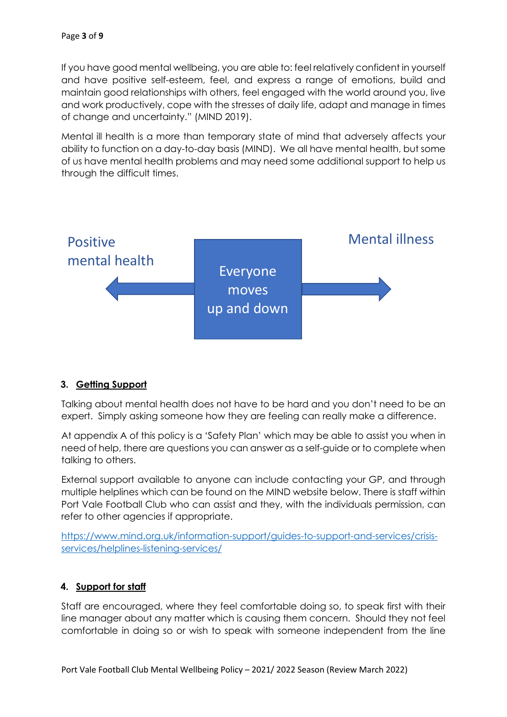If you have good mental wellbeing, you are able to: feel relatively confident in yourself and have positive self-esteem, feel, and express a range of emotions, build and maintain good relationships with others, feel engaged with the world around you, live and work productively, cope with the stresses of daily life, adapt and manage in times of change and uncertainty." (MIND 2019).

Mental ill health is a more than temporary state of mind that adversely affects your ability to function on a day-to-day basis (MIND). We all have mental health, but some of us have mental health problems and may need some additional support to help us through the difficult times.



# **3. Getting Support**

Talking about mental health does not have to be hard and you don't need to be an expert. Simply asking someone how they are feeling can really make a difference.

At appendix A of this policy is a 'Safety Plan' which may be able to assist you when in need of help, there are questions you can answer as a self-guide or to complete when talking to others.

External support available to anyone can include contacting your GP, and through multiple helplines which can be found on the MIND website below. There is staff within Port Vale Football Club who can assist and they, with the individuals permission, can refer to other agencies if appropriate.

https://www.mind.org.uk/information-support/guides-to-support-and-services/crisisservices/helplines-listening-services/

# **4. Support for staff**

Staff are encouraged, where they feel comfortable doing so, to speak first with their line manager about any matter which is causing them concern. Should they not feel comfortable in doing so or wish to speak with someone independent from the line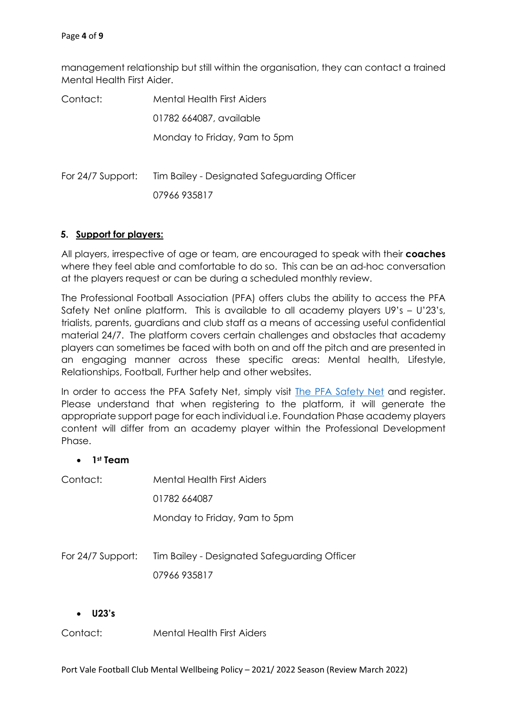management relationship but still within the organisation, they can contact a trained Mental Health First Aider.

| Contact:          | Mental Health First Aiders                   |  |  |
|-------------------|----------------------------------------------|--|--|
|                   | 01782 664087, available                      |  |  |
|                   | Monday to Friday, 9am to 5pm                 |  |  |
| For 24/7 Support: | Tim Bailey - Designated Safeguarding Officer |  |  |
|                   | 07966 935817                                 |  |  |
|                   |                                              |  |  |

#### **5. Support for players:**

All players, irrespective of age or team, are encouraged to speak with their **coaches** where they feel able and comfortable to do so. This can be an ad-hoc conversation at the players request or can be during a scheduled monthly review.

The Professional Football Association (PFA) offers clubs the ability to access the PFA Safety Net online platform. This is available to all academy players U9's – U'23's, trialists, parents, guardians and club staff as a means of accessing useful confidential material 24/7. The platform covers certain challenges and obstacles that academy players can sometimes be faced with both on and off the pitch and are presented in an engaging manner across these specific areas: Mental health, Lifestyle, Relationships, Football, Further help and other websites.

In order to access the PFA Safety Net, simply visit The PFA Safety Net and register. Please understand that when registering to the platform, it will generate the appropriate support page for each individual i.e. Foundation Phase academy players content will differ from an academy player within the Professional Development Phase.

#### • **1st Team**

| Contact:            | Mental Health First Aiders                   |
|---------------------|----------------------------------------------|
|                     | 01782 664087                                 |
|                     | Monday to Friday, 9am to 5pm                 |
|                     |                                              |
| For $24/7$ Support: | Tim Bailey - Designated Safeguarding Officer |
|                     | 07966 935817                                 |
|                     |                                              |

#### • **U23's**

Contact: Mental Health First Aiders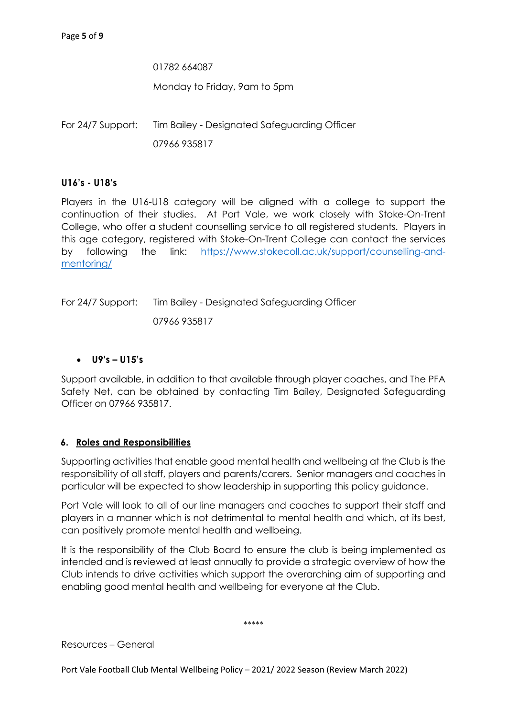01782 664087 Monday to Friday, 9am to 5pm

For 24/7 Support: Tim Bailey - Designated Safeguarding Officer 07966 935817

# **U16's - U18's**

Players in the U16-U18 category will be aligned with a college to support the continuation of their studies. At Port Vale, we work closely with Stoke-On-Trent College, who offer a student counselling service to all registered students. Players in this age category, registered with Stoke-On-Trent College can contact the services by following the link: https://www.stokecoll.ac.uk/support/counselling-andmentoring/

For 24/7 Support: Tim Bailey - Designated Safeguarding Officer 07966 935817

# • **U9's – U15's**

Support available, in addition to that available through player coaches, and The PFA Safety Net, can be obtained by contacting Tim Bailey, Designated Safeguarding Officer on 07966 935817.

# **6. Roles and Responsibilities**

Supporting activities that enable good mental health and wellbeing at the Club is the responsibility of all staff, players and parents/carers. Senior managers and coaches in particular will be expected to show leadership in supporting this policy guidance.

Port Vale will look to all of our line managers and coaches to support their staff and players in a manner which is not detrimental to mental health and which, at its best, can positively promote mental health and wellbeing.

It is the responsibility of the Club Board to ensure the club is being implemented as intended and is reviewed at least annually to provide a strategic overview of how the Club intends to drive activities which support the overarching aim of supporting and enabling good mental health and wellbeing for everyone at the Club.

\*\*\*\*\*

Resources – General

Port Vale Football Club Mental Wellbeing Policy – 2021/ 2022 Season (Review March 2022)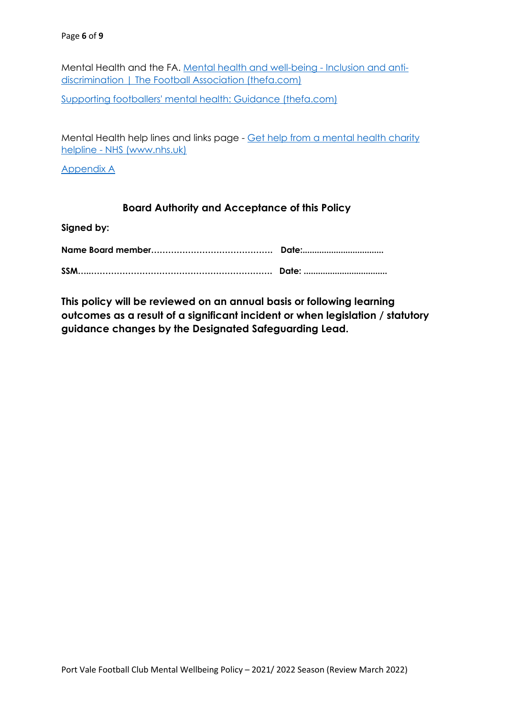Mental Health and the FA. Mental health and well-being - Inclusion and antidiscrimination | The Football Association (thefa.com)

Supporting footballers' mental health: Guidance (thefa.com)

Mental Health help lines and links page - Get help from a mental health charity helpline - NHS (www.nhs.uk)

Appendix A

# **Board Authority and Acceptance of this Policy**

**Signed by:**

**This policy will be reviewed on an annual basis or following learning outcomes as a result of a significant incident or when legislation / statutory guidance changes by the Designated Safeguarding Lead.**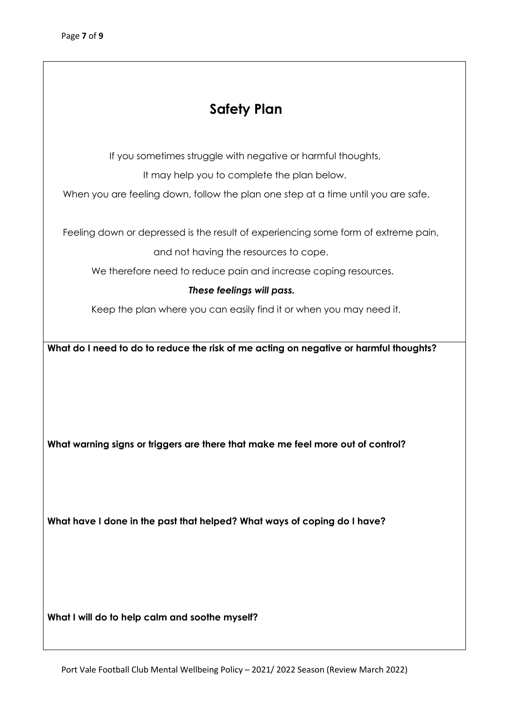# **Safety Plan**

If you sometimes struggle with negative or harmful thoughts,

It may help you to complete the plan below.

When you are feeling down, follow the plan one step at a time until you are safe.

Feeling down or depressed is the result of experiencing some form of extreme pain,

and not having the resources to cope.

We therefore need to reduce pain and increase coping resources.

# *These feelings will pass.*

Keep the plan where you can easily find it or when you may need it.

**What do I need to do to reduce the risk of me acting on negative or harmful thoughts?**

**What warning signs or triggers are there that make me feel more out of control?** 

**What have I done in the past that helped? What ways of coping do I have?**

**What I will do to help calm and soothe myself?**

Port Vale Football Club Mental Wellbeing Policy – 2021/ 2022 Season (Review March 2022)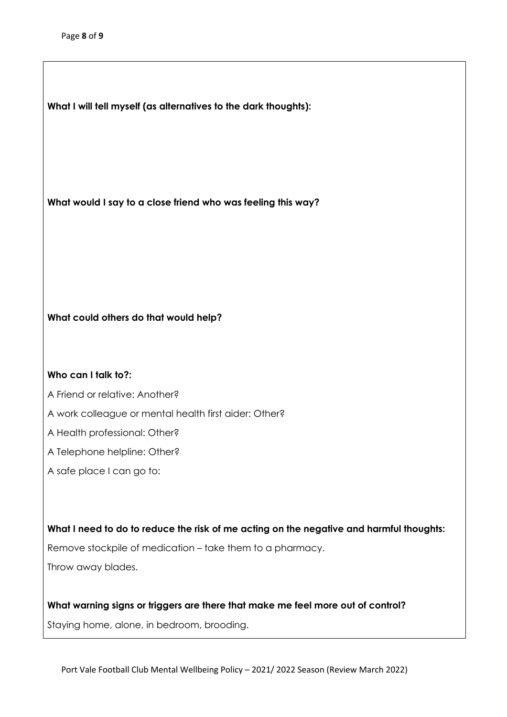**What I will tell myself (as alternatives to the dark thoughts):**

**What would I say to a close friend who was feeling this way?** 

#### **What could others do that would help?**

#### **Who can I talk to?:**

A Friend or relative: Another?

- A work colleague or mental health first aider: Other?
- A Health professional: Other?
- A Telephone helpline: Other?
- A safe place I can go to:

**What I need to do to reduce the risk of me acting on the negative and harmful thoughts:** Remove stockpile of medication – take them to a pharmacy. Throw away blades.

**What warning signs or triggers are there that make me feel more out of control?**  Staying home, alone, in bedroom, brooding.